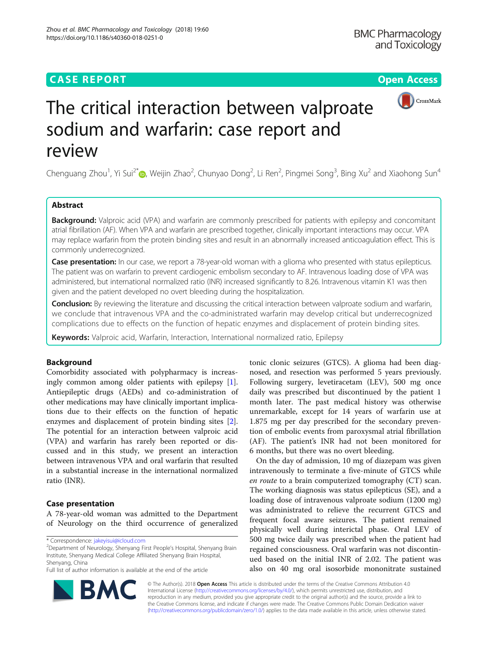# **CASE REPORT CASE REPORT CASE REPORT**



# The critical interaction between valproate sodium and warfarin: case report and review

Chenguang Zhou<sup>1</sup>, Yi Sui<sup>2[\\*](http://orcid.org/0000-0002-2898-7877)</sup>®, Weijin Zhao<sup>2</sup>, Chunyao Dong<sup>2</sup>, Li Ren<sup>2</sup>, Pingmei Song<sup>3</sup>, Bing Xu<sup>2</sup> and Xiaohong Sun<sup>4</sup>

# Abstract

Background: Valproic acid (VPA) and warfarin are commonly prescribed for patients with epilepsy and concomitant atrial fibrillation (AF). When VPA and warfarin are prescribed together, clinically important interactions may occur. VPA may replace warfarin from the protein binding sites and result in an abnormally increased anticoagulation effect. This is commonly underrecognized.

Case presentation: In our case, we report a 78-year-old woman with a glioma who presented with status epilepticus. The patient was on warfarin to prevent cardiogenic embolism secondary to AF. Intravenous loading dose of VPA was administered, but international normalized ratio (INR) increased significantly to 8.26. Intravenous vitamin K1 was then given and the patient developed no overt bleeding during the hospitalization.

Conclusion: By reviewing the literature and discussing the critical interaction between valproate sodium and warfarin, we conclude that intravenous VPA and the co-administrated warfarin may develop critical but underrecognized complications due to effects on the function of hepatic enzymes and displacement of protein binding sites.

Keywords: Valproic acid, Warfarin, Interaction, International normalized ratio, Epilepsy

## Background

Comorbidity associated with polypharmacy is increasingly common among older patients with epilepsy [\[1](#page-3-0)]. Antiepileptic drugs (AEDs) and co-administration of other medications may have clinically important implications due to their effects on the function of hepatic enzymes and displacement of protein binding sites [\[2](#page-3-0)]. The potential for an interaction between valproic acid (VPA) and warfarin has rarely been reported or discussed and in this study, we present an interaction between intravenous VPA and oral warfarin that resulted in a substantial increase in the international normalized ratio (INR).

# Case presentation

A 78-year-old woman was admitted to the Department of Neurology on the third occurrence of generalized

<sup>2</sup>Department of Neurology, Shenyang First People's Hospital, Shenyang Brain Institute, Shenyang Medical College Affiliated Shenyang Brain Hospital, Shenyang, China

Full list of author information is available at the end of the article

tonic clonic seizures (GTCS). A glioma had been diagnosed, and resection was performed 5 years previously. Following surgery, levetiracetam (LEV), 500 mg once daily was prescribed but discontinued by the patient 1 month later. The past medical history was otherwise unremarkable, except for 14 years of warfarin use at 1.875 mg per day prescribed for the secondary prevention of embolic events from paroxysmal atrial fibrillation (AF). The patient's INR had not been monitored for 6 months, but there was no overt bleeding.

On the day of admission, 10 mg of diazepam was given intravenously to terminate a five-minute of GTCS while en route to a brain computerized tomography (CT) scan. The working diagnosis was status epilepticus (SE), and a loading dose of intravenous valproate sodium (1200 mg) was administrated to relieve the recurrent GTCS and frequent focal aware seizures. The patient remained physically well during interictal phase. Oral LEV of 500 mg twice daily was prescribed when the patient had regained consciousness. Oral warfarin was not discontinued based on the initial INR of 2.02. The patient was also on 40 mg oral isosorbide mononitrate sustained



© The Author(s). 2018 Open Access This article is distributed under the terms of the Creative Commons Attribution 4.0 International License [\(http://creativecommons.org/licenses/by/4.0/](http://creativecommons.org/licenses/by/4.0/)), which permits unrestricted use, distribution, and reproduction in any medium, provided you give appropriate credit to the original author(s) and the source, provide a link to the Creative Commons license, and indicate if changes were made. The Creative Commons Public Domain Dedication waiver [\(http://creativecommons.org/publicdomain/zero/1.0/](http://creativecommons.org/publicdomain/zero/1.0/)) applies to the data made available in this article, unless otherwise stated.

<sup>\*</sup> Correspondence: [jakeyisui@icloud.com](mailto:jakeyisui@icloud.com) <sup>2</sup>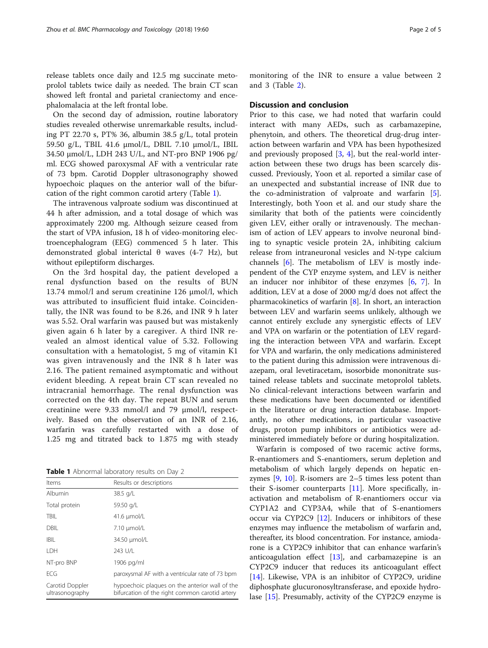release tablets once daily and 12.5 mg succinate metoprolol tablets twice daily as needed. The brain CT scan showed left frontal and parietal craniectomy and encephalomalacia at the left frontal lobe.

On the second day of admission, routine laboratory studies revealed otherwise unremarkable results, including PT 22.70 s, PT% 36, albumin 38.5 g/L, total protein 59.50 g/L, TBIL 41.6 μmol/L, DBIL 7.10 μmol/L, IBIL 34.50 μmol/L, LDH 243 U/L, and NT-pro BNP 1906 pg/ ml. ECG showed paroxysmal AF with a ventricular rate of 73 bpm. Carotid Doppler ultrasonography showed hypoechoic plaques on the anterior wall of the bifurcation of the right common carotid artery (Table 1).

The intravenous valproate sodium was discontinued at 44 h after admission, and a total dosage of which was approximately 2200 mg. Although seizure ceased from the start of VPA infusion, 18 h of video-monitoring electroencephalogram (EEG) commenced 5 h later. This demonstrated global interictal θ waves (4-7 Hz), but without epileptiform discharges.

On the 3rd hospital day, the patient developed a renal dysfunction based on the results of BUN 13.74 mmol/l and serum creatinine 126 μmol/l, which was attributed to insufficient fluid intake. Coincidentally, the INR was found to be 8.26, and INR 9 h later was 5.52. Oral warfarin was paused but was mistakenly given again 6 h later by a caregiver. A third INR revealed an almost identical value of 5.32. Following consultation with a hematologist, 5 mg of vitamin K1 was given intravenously and the INR 8 h later was 2.16. The patient remained asymptomatic and without evident bleeding. A repeat brain CT scan revealed no intracranial hemorrhage. The renal dysfunction was corrected on the 4th day. The repeat BUN and serum creatinine were 9.33 mmol/l and 79 μmol/l, respectively. Based on the observation of an INR of 2.16, warfarin was carefully restarted with a dose of 1.25 mg and titrated back to 1.875 mg with steady

Table 1 Abnormal laboratory results on Day 2

| Items                              | Results or descriptions                                                                          |  |  |
|------------------------------------|--------------------------------------------------------------------------------------------------|--|--|
| Albumin                            | 38.5 g/L                                                                                         |  |  |
| Total protein                      | 59.50 g/L                                                                                        |  |  |
| <b>TBIL</b>                        | $41.6 \mu$ umol/L                                                                                |  |  |
| <b>DBIL</b>                        | $7.10 \mu$ mol/L                                                                                 |  |  |
| <b>IBIL</b>                        | 34.50 µmol/L                                                                                     |  |  |
| <b>IDH</b>                         | 243 U/L                                                                                          |  |  |
| NT-pro BNP                         | 1906 pg/ml                                                                                       |  |  |
| FCG                                | paroxysmal AF with a ventricular rate of 73 bpm                                                  |  |  |
| Carotid Doppler<br>ultrasonography | hypoechoic plaques on the anterior wall of the<br>bifurcation of the right common carotid artery |  |  |

monitoring of the INR to ensure a value between 2 and 3 (Table [2\)](#page-2-0).

### Discussion and conclusion

Prior to this case, we had noted that warfarin could interact with many AEDs, such as carbamazepine, phenytoin, and others. The theoretical drug-drug interaction between warfarin and VPA has been hypothesized and previously proposed  $[3, 4]$  $[3, 4]$  $[3, 4]$  $[3, 4]$  $[3, 4]$ , but the real-world interaction between these two drugs has been scarcely discussed. Previously, Yoon et al. reported a similar case of an unexpected and substantial increase of INR due to the co-administration of valproate and warfarin [\[5](#page-3-0)]. Interestingly, both Yoon et al. and our study share the similarity that both of the patients were coincidently given LEV, either orally or intravenously. The mechanism of action of LEV appears to involve neuronal binding to synaptic vesicle protein 2A, inhibiting calcium release from intraneuronal vesicles and N-type calcium channels [[6\]](#page-3-0). The metabolism of LEV is mostly independent of the CYP enzyme system, and LEV is neither an inducer nor inhibitor of these enzymes  $[6, 7]$  $[6, 7]$  $[6, 7]$ . In addition, LEV at a dose of 2000 mg/d does not affect the pharmacokinetics of warfarin [\[8](#page-3-0)]. In short, an interaction between LEV and warfarin seems unlikely, although we cannot entirely exclude any synergistic effects of LEV and VPA on warfarin or the potentiation of LEV regarding the interaction between VPA and warfarin. Except for VPA and warfarin, the only medications administered to the patient during this admission were intravenous diazepam, oral levetiracetam, isosorbide mononitrate sustained release tablets and succinate metoprolol tablets. No clinical-relevant interactions between warfarin and these medications have been documented or identified in the literature or drug interaction database. Importantly, no other medications, in particular vasoactive drugs, proton pump inhibitors or antibiotics were administered immediately before or during hospitalization.

Warfarin is composed of two racemic active forms, R-enantiomers and S-enantiomers, serum depletion and metabolism of which largely depends on hepatic enzymes [[9,](#page-3-0) [10](#page-3-0)]. R-isomers are 2–5 times less potent than their S-isomer counterparts [\[11](#page-3-0)]. More specifically, inactivation and metabolism of R-enantiomers occur via CYP1A2 and CYP3A4, while that of S-enantiomers occur via CYP2C9 [\[12\]](#page-3-0). Inducers or inhibitors of these enzymes may influence the metabolism of warfarin and, thereafter, its blood concentration. For instance, amiodarone is a CYP2C9 inhibitor that can enhance warfarin's anticoagulation effect [[13](#page-3-0)], and carbamazepine is an CYP2C9 inducer that reduces its anticoagulant effect [[14\]](#page-3-0). Likewise, VPA is an inhibitor of CYP2C9, uridine diphosphate glucuronosyltransferase, and epoxide hydrolase [[15](#page-3-0)]. Presumably, activity of the CYP2C9 enzyme is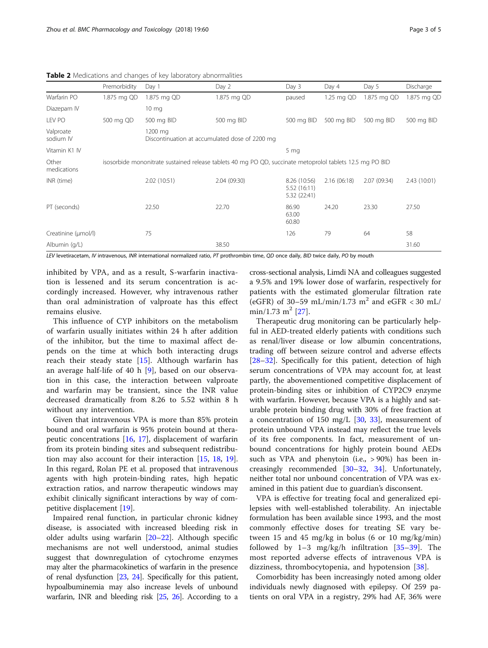|                        | Premorbidity                                                                                              | Day 1           | Day 2        | Day 3                                        | Day 4       | Day 5        | Discharge    |  |  |
|------------------------|-----------------------------------------------------------------------------------------------------------|-----------------|--------------|----------------------------------------------|-------------|--------------|--------------|--|--|
| Warfarin PO            | 1.875 mg QD                                                                                               | 1.875 mg QD     | 1.875 mg QD  | paused                                       | 1.25 mg QD  | 1.875 mg QD  | 1.875 mg QD  |  |  |
| Diazepam IV            |                                                                                                           | $10 \text{ mg}$ |              |                                              |             |              |              |  |  |
| LEV PO                 | 500 mg QD                                                                                                 | 500 mg BID      | 500 mg BID   | 500 mg BID                                   | 500 mg BID  | 500 mg BID   | 500 mg BID   |  |  |
| Valproate<br>sodium IV | 1200 mg<br>Discontinuation at accumulated dose of 2200 mg                                                 |                 |              |                                              |             |              |              |  |  |
| Vitamin K1 IV          |                                                                                                           |                 |              | 5 <sub>mg</sub>                              |             |              |              |  |  |
| Other<br>medications   | isosorbide mononitrate sustained release tablets 40 mg PO QD, succinate metoprolol tablets 12.5 mg PO BID |                 |              |                                              |             |              |              |  |  |
| INR (time)             |                                                                                                           | 2.02 (10:51)    | 2.04 (09:30) | 8.26 (10:56)<br>5.52 (16:11)<br>5.32 (22:41) | 2.16(06:18) | 2.07 (09:34) | 2.43 (10:01) |  |  |
| PT (seconds)           |                                                                                                           | 22.50           | 22.70        | 86.90<br>63.00<br>60.80                      | 24.20       | 23.30        | 27.50        |  |  |
| Creatinine (µmol/l)    |                                                                                                           | 75              |              | 126                                          | 79          | 64           | 58           |  |  |
| Albumin (g/L)          |                                                                                                           |                 | 38.50        |                                              |             |              | 31.60        |  |  |

<span id="page-2-0"></span>Table 2 Medications and changes of key laboratory abnormalities

LEV levetiracetam, IV intravenous, INR international normalized ratio, PT prothrombin time, QD once daily, BID twice daily, PO by mouth

inhibited by VPA, and as a result, S-warfarin inactivation is lessened and its serum concentration is accordingly increased. However, why intravenous rather than oral administration of valproate has this effect remains elusive.

This influence of CYP inhibitors on the metabolism of warfarin usually initiates within 24 h after addition of the inhibitor, but the time to maximal affect depends on the time at which both interacting drugs reach their steady state  $[15]$  $[15]$ . Although warfarin has an average half-life of 40 h [\[9](#page-3-0)], based on our observation in this case, the interaction between valproate and warfarin may be transient, since the INR value decreased dramatically from 8.26 to 5.52 within 8 h without any intervention.

Given that intravenous VPA is more than 85% protein bound and oral warfarin is 95% protein bound at therapeutic concentrations [[16,](#page-3-0) [17](#page-4-0)], displacement of warfarin from its protein binding sites and subsequent redistribution may also account for their interaction [[15](#page-3-0), [18](#page-4-0), [19](#page-4-0)]. In this regard, Rolan PE et al. proposed that intravenous agents with high protein-binding rates, high hepatic extraction ratios, and narrow therapeutic windows may exhibit clinically significant interactions by way of competitive displacement [\[19](#page-4-0)].

Impaired renal function, in particular chronic kidney disease, is associated with increased bleeding risk in older adults using warfarin [[20](#page-4-0)–[22\]](#page-4-0). Although specific mechanisms are not well understood, animal studies suggest that downregulation of cytochrome enzymes may alter the pharmacokinetics of warfarin in the presence of renal dysfunction [\[23,](#page-4-0) [24\]](#page-4-0). Specifically for this patient, hypoalbuminemia may also increase levels of unbound warfarin, INR and bleeding risk [\[25](#page-4-0), [26](#page-4-0)]. According to a cross-sectional analysis, Limdi NA and colleagues suggested a 9.5% and 19% lower dose of warfarin, respectively for patients with the estimated glomerular filtration rate (eGFR) of 30–59 mL/min/1.73  $m^2$  and eGFR < 30 mL/ min/1.73 m<sup>2</sup> [\[27](#page-4-0)].

Therapeutic drug monitoring can be particularly helpful in AED-treated elderly patients with conditions such as renal/liver disease or low albumin concentrations, trading off between seizure control and adverse effects [[28](#page-4-0)–[32](#page-4-0)]. Specifically for this patient, detection of high serum concentrations of VPA may account for, at least partly, the abovementioned competitive displacement of protein-binding sites or inhibition of CYP2C9 enzyme with warfarin. However, because VPA is a highly and saturable protein binding drug with 30% of free fraction at a concentration of 150 mg/L [\[30,](#page-4-0) [33](#page-4-0)], measurement of protein unbound VPA instead may reflect the true levels of its free components. In fact, measurement of unbound concentrations for highly protein bound AEDs such as VPA and phenytoin (i.e., > 90%) has been increasingly recommended [[30](#page-4-0)–[32](#page-4-0), [34\]](#page-4-0). Unfortunately, neither total nor unbound concentration of VPA was examined in this patient due to guardian's disconsent.

VPA is effective for treating focal and generalized epilepsies with well-established tolerability. An injectable formulation has been available since 1993, and the most commonly effective doses for treating SE vary between 15 and 45 mg/kg in bolus (6 or 10 mg/kg/min) followed by  $1-3$  mg/kg/h infiltration  $[35-39]$  $[35-39]$  $[35-39]$  $[35-39]$ . The most reported adverse effects of intravenous VPA is dizziness, thrombocytopenia, and hypotension [\[38](#page-4-0)].

Comorbidity has been increasingly noted among older individuals newly diagnosed with epilepsy. Of 259 patients on oral VPA in a registry, 29% had AF, 36% were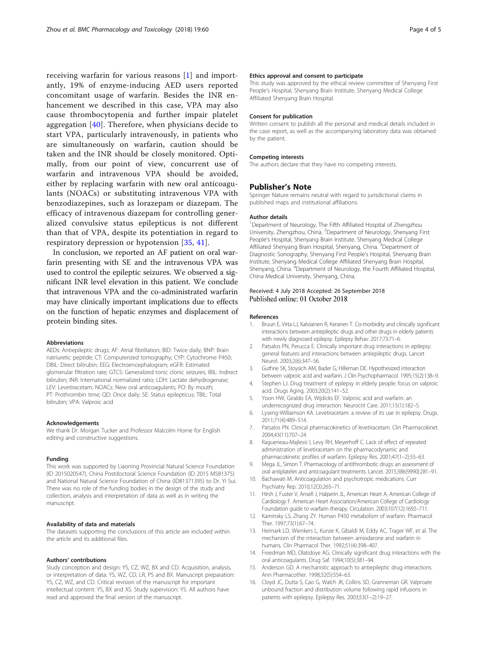<span id="page-3-0"></span>receiving warfarin for various reasons [1] and importantly, 19% of enzyme-inducing AED users reported concomitant usage of warfarin. Besides the INR enhancement we described in this case, VPA may also cause thrombocytopenia and further impair platelet aggregation [\[40\]](#page-4-0). Therefore, when physicians decide to start VPA, particularly intravenously, in patients who are simultaneously on warfarin, caution should be taken and the INR should be closely monitored. Optimally, from our point of view, concurrent use of warfarin and intravenous VPA should be avoided, either by replacing warfarin with new oral anticoagulants (NOACs) or substituting intravenous VPA with benzodiazepines, such as lorazepam or diazepam. The efficacy of intravenous diazepam for controlling generalized convulsive status epilepticus is not different than that of VPA, despite its potentiation in regard to respiratory depression or hypotension [[35,](#page-4-0) [41](#page-4-0)].

In conclusion, we reported an AF patient on oral warfarin presenting with SE and the intravenous VPA was used to control the epileptic seizures. We observed a significant INR level elevation in this patient. We conclude that intravenous VPA and the co-administrated warfarin may have clinically important implications due to effects on the function of hepatic enzymes and displacement of protein binding sites.

#### Abbreviations

AEDs: Antiepileptic drugs; AF: Atrial fibrillation; BID: Twice daily; BNP: Brain natriuretic peptide; CT: Computerized tomography; CYP: Cytochrome P450; DBIL: Direct bilirubin; EEG: Electroencephalogram; eGFR: Estimated glomerular filtration rate; GTCS: Generalized tonic clonic seizures; IBIL: Indirect bilirubin; INR: International normalized ratio; LDH: Lactate dehydrogenase; LEV: Levetiracetam; NOACs: New oral anticoagulants; PO: By mouth; PT: Prothrombin time; QD: Once daily; SE: Status epilepticus; TBIL: Total bilirubin; VPA: Valproic acid

#### Acknowledgements

We thank Dr. Morgan Tucker and Professor Malcolm Horne for English editing and constructive suggestions.

#### Funding

This work was supported by Liaoning Provincial Natural Science Foundation (ID 2015020547), China Postdoctoral Science Foundation (ID 2015 M581375) and National Natural Science Foundation of China (ID81371395) to Dr. Yi Sui. There was no role of the funding bodies in the design of the study and collection, analysis and interpretation of data as well as in writing the manuscript.

#### Availability of data and materials

The datasets supporting the conclusions of this article are included within the article and its additional files.

#### Authors' contributions

Study conception and design: YS, CZ, WZ, BX and CD. Acquisition, analysis, or interpretation of data: YS, WZ, CD, LR, PS and BX. Manuscript preparation: YS, CZ, WZ, and CD. Critical revision of the manuscript for important intellectual content: YS, BX and XS. Study supervision: YS. All authors have read and approved the final version of the manuscript.

#### Ethics approval and consent to participate

This study was approved by the ethical review committee of Shenyang First People's Hospital, Shenyang Brain Institute, Shenyang Medical College Affiliated Shenyang Brain Hospital.

#### Consent for publication

Written consent to publish all the personal and medical details included in the case report, as well as the accompanying laboratory data was obtained by the patient.

#### Competing interests

The authors declare that they have no competing interests.

#### Publisher's Note

Springer Nature remains neutral with regard to jurisdictional claims in published maps and institutional affiliations.

#### Author details

<sup>1</sup>Department of Neurology, The Fifth Affiliated Hospital of Zhengzhou University, Zhengzhou, China. <sup>2</sup>Department of Neurology, Shenyang First People's Hospital, Shenyang Brain Institute, Shenyang Medical College Affiliated Shenyang Brain Hospital, Shenyang, China.<sup>3</sup>Department of Diagnostic Sonography, Shenyang First People's Hospital, Shenyang Brain Institute, Shenyang Medical College Affiliated Shenyang Brain Hospital, Shenyang, China. <sup>4</sup>Department of Neurology, the Fourth Affiliated Hospital China Medical University, Shenyang, China.

#### Received: 4 July 2018 Accepted: 26 September 2018 Published online: 01 October 2018

#### References

- 1. Bruun E, Virta LJ, Kalviainen R, Keranen T. Co-morbidity and clinically significant interactions between antiepileptic drugs and other drugs in elderly patients with newly diagnosed epilepsy. Epilepsy Behav. 2017;73:71–6.
- 2. Patsalos PN, Perucca E. Clinically important drug interactions in epilepsy: general features and interactions between antiepileptic drugs. Lancet Neurol. 2003;2(6):347–56.
- 3. Guthrie SK, Stoysich AM, Bader G, Hilleman DE. Hypothesized interaction between valproic acid and warfarin. J Clin Psychopharmacol. 1995;15(2):138–9.
- 4. Stephen LJ. Drug treatment of epilepsy in elderly people: focus on valproic acid. Drugs Aging. 2003;20(2):141–52.
- 5. Yoon HW, Giraldo EA, Wijdicks EF. Valproic acid and warfarin: an underrecognized drug interaction. Neurocrit Care. 2011;15(1):182–5.
- 6. Lyseng-Williamson KA. Levetiracetam: a review of its use in epilepsy. Drugs. 2011;71(4):489–514.
- 7. Patsalos PN. Clinical pharmacokinetics of levetiracetam. Clin Pharmacokinet. 2004;43(11):707–24.
- 8. Ragueneau-Majlessi I, Levy RH, Meyerhoff C. Lack of effect of repeated administration of levetiracetam on the pharmacodynamic and pharmacokinetic profiles of warfarin. Epilepsy Res. 2001;47(1–2):55–63.
- 9. Mega JL, Simon T. Pharmacology of antithrombotic drugs: an assessment of oral antiplatelet and anticoagulant treatments. Lancet. 2015;386(9990):281–91.
- 10. Bachawati M. Anticoagulation and psychotropic medications. Curr Psychiatry Rep. 2010;12(3):265–71.
- 11. Hirsh J, Fuster V, Ansell J, Halperin JL, American Heart A, American College of Cardiology F. American Heart Association/American College of Cardiology Foundation guide to warfarin therapy. Circulation. 2003;107(12):1692–711.
- 12. Kaminsky LS, Zhang ZY. Human P450 metabolism of warfarin. Pharmacol Ther. 1997;73(1):67–74.
- 13. Heimark LD, Wienkers L, Kunze K, Gibaldi M, Eddy AC, Trager WF, et al. The mechanism of the interaction between amiodarone and warfarin in humans. Clin Pharmacol Ther. 1992;51(4):398–407.
- 14. Freedman MD, Olatidoye AG. Clinically significant drug interactions with the oral anticoagulants. Drug Saf. 1994;10(5):381–94.
- 15. Anderson GD. A mechanistic approach to antiepileptic drug interactions. Ann Pharmacother. 1998;32(5):554–63.
- 16. Cloyd JC, Dutta S, Cao G, Walch JK, Collins SD, Granneman GR. Valproate unbound fraction and distribution volume following rapid infusions in patients with epilepsy. Epilepsy Res. 2003;53(1–2):19–27.